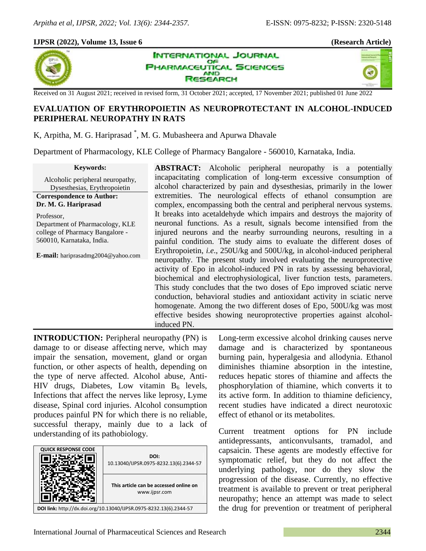×,

# **IJPSR (2022), Volume 13, Issue 6 (Research Article)**



**INTERNATIONAL JOURNAL** OF **PHARMACEUTICAL SCIENCES AND SEARCH** 

Received on 31 August 2021; received in revised form, 31 October 2021; accepted, 17 November 2021; published 01 June 2022

# **EVALUATION OF ERYTHROPOIETIN AS NEUROPROTECTANT IN ALCOHOL-INDUCED PERIPHERAL NEUROPATHY IN RATS**

K, Arpitha, M. G. Hariprasad \* , M. G. Mubasheera and Apurwa Dhavale

Department of Pharmacology, KLE College of Pharmacy Bangalore - 560010, Karnataka, India.

| <b>Keywords:</b>                   | <b>ABSTRACT:</b> Alcoholic peripheral neuropathy is a potentially                                                                                                                                                                                                                                                                                                                                                                                                                                                                                                                                                                 |
|------------------------------------|-----------------------------------------------------------------------------------------------------------------------------------------------------------------------------------------------------------------------------------------------------------------------------------------------------------------------------------------------------------------------------------------------------------------------------------------------------------------------------------------------------------------------------------------------------------------------------------------------------------------------------------|
| Alcoholic peripheral neuropathy,   | incapacitating complication of long-term excessive consumption of                                                                                                                                                                                                                                                                                                                                                                                                                                                                                                                                                                 |
| Dysesthesias, Erythropoietin       | alcohol characterized by pain and dysesthesias, primarily in the lower                                                                                                                                                                                                                                                                                                                                                                                                                                                                                                                                                            |
| <b>Correspondence to Author:</b>   | extremities. The neurological effects of ethanol consumption are                                                                                                                                                                                                                                                                                                                                                                                                                                                                                                                                                                  |
| Dr. M. G. Hariprasad               | complex, encompassing both the central and peripheral nervous systems.                                                                                                                                                                                                                                                                                                                                                                                                                                                                                                                                                            |
| Professor,                         | It breaks into acetal dehyde which impairs and destroys the majority of                                                                                                                                                                                                                                                                                                                                                                                                                                                                                                                                                           |
| Department of Pharmacology, KLE    | neuronal functions. As a result, signals become intensified from the                                                                                                                                                                                                                                                                                                                                                                                                                                                                                                                                                              |
| college of Pharmacy Bangalore -    | injured neurons and the nearby surrounding neurons, resulting in a                                                                                                                                                                                                                                                                                                                                                                                                                                                                                                                                                                |
| 560010, Karnataka, India.          | painful condition. The study aims to evaluate the different doses of                                                                                                                                                                                                                                                                                                                                                                                                                                                                                                                                                              |
| E-mail: hariprasadmg2004@yahoo.com | Erythropoietin, <i>i.e.</i> , 250U/kg and 500U/kg, in alcohol-induced peripheral<br>neuropathy. The present study involved evaluating the neuroprotective<br>activity of Epo in alcohol-induced PN in rats by assessing behavioral,<br>biochemical and electrophysiological, liver function tests, parameters.<br>This study concludes that the two doses of Epo improved sciatic nerve<br>conduction, behavioral studies and antioxidant activity in sciatic nerve<br>homogenate. Among the two different doses of Epo, 500U/kg was most<br>effective besides showing neuroprotective properties against alcohol-<br>induced PN. |

**INTRODUCTION:** Peripheral neuropathy (PN) is damage to or disease affecting nerve, which may impair the sensation, movement, gland or organ function, or other aspects of health, depending on the type of nerve affected. Alcohol abuse, Anti-HIV drugs, Diabetes, Low vitamin  $B_6$  levels, Infections that affect the nerves like leprosy, Lyme disease, Spinal cord injuries. Alcohol consumption produces painful PN for which there is no reliable, successful therapy, mainly due to a lack of understanding of its pathobiology.

| <b>QUICK RESPONSE CODE</b>                                         |                                                         |  |
|--------------------------------------------------------------------|---------------------------------------------------------|--|
|                                                                    | DOI:<br>10.13040/IJPSR.0975-8232.13(6).2344-57          |  |
|                                                                    | This article can be accessed online on<br>www.ijpsr.com |  |
| DOI link: http://dx.doi.org/10.13040/IJPSR.0975-8232.13(6).2344-57 |                                                         |  |

Long-term excessive alcohol drinking causes nerve damage and is characterized by spontaneous burning pain, hyperalgesia and allodynia. Ethanol diminishes thiamine absorption in the intestine, reduces hepatic stores of thiamine and affects the phosphorylation of thiamine, which converts it to its active form. In addition to thiamine deficiency, recent studies have indicated a direct neurotoxic effect of ethanol or its metabolites.

Current treatment options for PN include antidepressants, anticonvulsants, tramadol, and capsaicin. These agents are modestly effective for symptomatic relief, but they do not affect the underlying pathology, nor do they slow the progression of the disease. Currently, no effective treatment is available to prevent or treat peripheral neuropathy; hence an attempt was made to select the drug for prevention or treatment of peripheral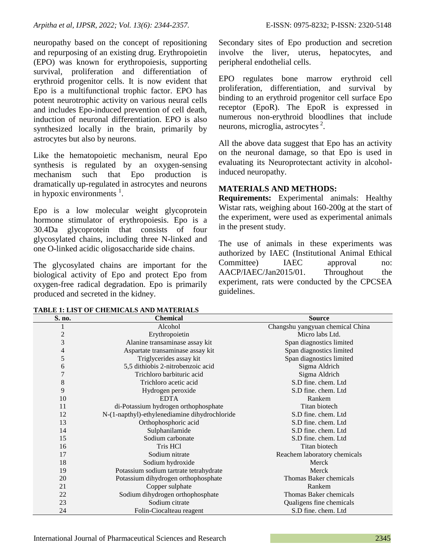neuropathy based on the concept of repositioning and repurposing of an existing drug. Erythropoietin (EPO) was known for erythropoiesis, supporting survival, proliferation and differentiation of erythroid progenitor cells. It is now evident that Epo is a multifunctional trophic factor. EPO has potent neurotrophic activity on various neural cells and includes Epo-induced prevention of cell death, induction of neuronal differentiation. EPO is also synthesized locally in the brain, primarily by astrocytes but also by neurons.

Like the hematopoietic mechanism, neural Epo synthesis is regulated by an oxygen-sensing mechanism such that Epo production is dramatically up-regulated in astrocytes and neurons in hypoxic environments  $<sup>1</sup>$ .</sup>

Epo is a low molecular weight glycoprotein hormone stimulator of erythropoiesis. Epo is a 30.4Da glycoprotein that consists of four glycosylated chains, including three N-linked and one O-linked acidic oligosaccharide side chains.

The glycosylated chains are important for the biological activity of Epo and protect Epo from oxygen-free radical degradation. Epo is primarily produced and secreted in the kidney.

Secondary sites of Epo production and secretion involve the liver, uterus, hepatocytes, and peripheral endothelial cells.

EPO regulates bone marrow erythroid cell proliferation, differentiation, and survival by binding to an erythroid progenitor cell surface Epo receptor (EpoR). The EpoR is expressed in numerous non-erythroid bloodlines that include neurons, microglia, astrocytes<sup>2</sup>.

All the above data suggest that Epo has an activity on the neuronal damage, so that Epo is used in evaluating its Neuroprotectant activity in alcoholinduced neuropathy.

# **MATERIALS AND METHODS:**

**Requirements:** Experimental animals: Healthy Wistar rats, weighing about 160-200g at the start of the experiment, were used as experimental animals in the present study.

The use of animals in these experiments was authorized by IAEC (Institutional Animal Ethical Committee) IAEC approval no: AACP/IAEC/Jan2015/01. Throughout the experiment, rats were conducted by the CPCSEA guidelines.

| S. no.         | <b>Chemical</b>                               | <b>Source</b>                    |
|----------------|-----------------------------------------------|----------------------------------|
|                | Alcohol                                       | Changshu yangyuan chemical China |
| $\overline{c}$ | Erythropoietin                                | Micro labs Ltd.                  |
| 3              | Alanine transaminase assay kit                | Span diagnostics limited         |
| 4              | Aspartate transaminase assay kit              | Span diagnostics limited         |
| 5              | Triglycerides assay kit                       | Span diagnostics limited         |
| 6              | 5,5 dithiobis 2-nitrobenzoic acid             | Sigma Aldrich                    |
| $\overline{7}$ | Trichloro barbituric acid                     | Sigma Aldrich                    |
| 8              | Trichloro acetic acid                         | S.D fine. chem. Ltd              |
| 9              | Hydrogen peroxide                             | S.D fine. chem. Ltd.             |
| 10             | <b>EDTA</b>                                   | Rankem                           |
| 11             | di-Potassium hydrogen orthophosphate          | Titan biotech                    |
| 12             | N-(1-napthyl)-ethylenediamine dihydrochloride | S.D fine. chem. Ltd.             |
| 13             | Orthophosphoric acid                          | S.D fine. chem. Ltd.             |
| 14             | Sulphanilamide                                | S.D fine. chem. Ltd              |
| 15             | Sodium carbonate                              | S.D fine. chem. Ltd.             |
| 16             | Tris HCl                                      | Titan biotech                    |
| 17             | Sodium nitrate                                | Reachem laboratory chemicals     |
| 18             | Sodium hydroxide                              | Merck                            |
| 19             | Potassium sodium tartrate tetrahydrate        | Merck                            |
| 20             | Potassium dihydrogen orthophosphate           | Thomas Baker chemicals           |
| 21             | Copper sulphate                               | Rankem                           |
| 22             | Sodium dihydrogen orthophosphate              | Thomas Baker chemicals           |
| 23             | Sodium citrate                                | Qualigens fine chemicals         |
| 24             | Folin-Ciocalteau reagent                      | S.D fine. chem. Ltd.             |

**TABLE 1: LIST OF CHEMICALS AND MATERIALS**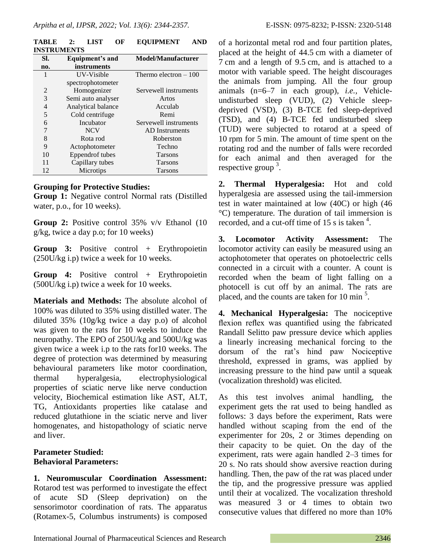|     | <b>INSTRUMENTS</b>     |                           |
|-----|------------------------|---------------------------|
| SI. | Equipment's and        | <b>Model/Manufacturer</b> |
| no. | instruments            |                           |
| 1   | UV-Visible             | Thermo electron $-100$    |
|     | spectrophotometer      |                           |
| 2   | Homogenizer            | Servewell instruments     |
| 3   | Semi auto analyser     | Artos                     |
| 4   | Analytical balance     | Acculab                   |
| 5   | Cold centrifuge        | Remi                      |
| 6   | Incubator              | Servewell instruments     |
| 7   | <b>NCV</b>             | AD Instruments            |
| 8   | Rota rod               | Roberston                 |
| 9   | Actophotometer         | Techno                    |
| 10  | <b>Eppendrof</b> tubes | <b>Tarsons</b>            |
|     | Capillary tubes        | Tarsons                   |

**TABLE 2: LIST OF EQUIPMENT AND INSTRUMENTS**

## **Grouping for Protective Studies:**

**Group 1:** Negative control Normal rats (Distilled water, p.o., for 10 weeks).

12 Microtips Tarsons

**Group 2:** Positive control 35% v/v Ethanol (10 g/kg, twice a day p.o; for 10 weeks)

**Group 3:** Positive control + Erythropoietin (250U/kg i.p) twice a week for 10 weeks.

**Group 4:** Positive control + Erythropoietin (500U/kg i.p) twice a week for 10 weeks.

**Materials and Methods:** The absolute alcohol of 100% was diluted to 35% using distilled water. The diluted 35% (10g/kg twice a day p.o) of alcohol was given to the rats for 10 weeks to induce the neuropathy. The EPO of 250U/kg and 500U/kg was given twice a week i.p to the rats for10 weeks. The degree of protection was determined by measuring behavioural parameters like motor coordination, thermal hyperalgesia, electrophysiological properties of sciatic nerve like nerve conduction velocity, Biochemical estimation like AST, ALT, TG, Antioxidants properties like catalase and reduced glutathione in the sciatic nerve and liver homogenates, and histopathology of sciatic nerve and liver.

## **Parameter Studied: Behavioral Parameters:**

**1. Neuromuscular Coordination Assessment:**  Rotarod test was performed to investigate the effect of acute SD (Sleep deprivation) on the sensorimotor coordination of rats. The apparatus (Rotamex-5, Columbus instruments) is composed of a horizontal metal rod and four partition plates, placed at the height of 44.5 cm with a diameter of 7 cm and a length of 9.5 cm, and is attached to a motor with variable speed. The height discourages the animals from jumping. All the four group animals (n=6–7 in each group), *i.e.,* Vehicleundisturbed sleep (VUD), (2) Vehicle sleepdeprived (VSD), (3) B-TCE fed sleep-deprived (TSD), and (4) B-TCE fed undisturbed sleep (TUD) were subjected to rotarod at a speed of 10 rpm for 5 min. The amount of time spent on the rotating rod and the number of falls were recorded for each animal and then averaged for the respective group  $3$ .

**2. Thermal Hyperalgesia:** Hot and cold hyperalgesia are assessed using the tail-immersion test in water maintained at low (40C) or high (46 °C) temperature. The duration of tail immersion is recorded, and a cut-off time of 15 s is taken<sup>4</sup>.

**3. Locomotor Activity Assessment:** The locomotor activity can easily be measured using an actophotometer that operates on photoelectric cells connected in a circuit with a counter. A count is recorded when the beam of light falling on a photocell is cut off by an animal. The rats are placed, and the counts are taken for 10 min<sup>5</sup>.

**4. Mechanical Hyperalgesia:** The nociceptive flexion reflex was quantified using the fabricated Randall Selitto paw pressure device which applies a linearly increasing mechanical forcing to the dorsum of the rat's hind paw Nociceptive threshold, expressed in grams, was applied by increasing pressure to the hind paw until a squeak (vocalization threshold) was elicited.

As this test involves animal handling, the experiment gets the rat used to being handled as follows: 3 days before the experiment, Rats were handled without scaping from the end of the experimenter for 20s, 2 or 3times depending on their capacity to be quiet. On the day of the experiment, rats were again handled 2–3 times for 20 s. No rats should show aversive reaction during handling. Then, the paw of the rat was placed under the tip, and the progressive pressure was applied until their at vocalized. The vocalization threshold was measured 3 or 4 times to obtain two consecutive values that differed no more than 10%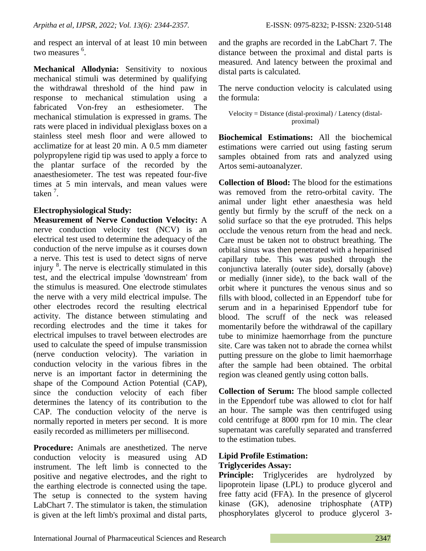and respect an interval of at least 10 min between two measures <sup>6</sup>.

**Mechanical Allodynia:** Sensitivity to noxious mechanical stimuli was determined by qualifying the withdrawal threshold of the hind paw in response to mechanical stimulation using a fabricated Von-frey an esthesiometer. The mechanical stimulation is expressed in grams. The rats were placed in individual plexiglass boxes on a stainless steel mesh floor and were allowed to acclimatize for at least 20 min. A 0.5 mm diameter polypropylene rigid tip was used to apply a force to the plantar surface of the recorded by the anaesthesiometer. The test was repeated four-five times at 5 min intervals, and mean values were taken<sup>7</sup>.

# **Electrophysiological Study:**

**Measurement of Nerve Conduction Velocity:** A nerve conduction velocity test (NCV) is an electrical test used to determine the adequacy of the conduction of the nerve impulse as it courses down a nerve. This test is used to detect signs of nerve injury <sup>8</sup>. The nerve is electrically stimulated in this test, and the electrical impulse 'downstream' from the stimulus is measured. One electrode stimulates the nerve with a very mild electrical impulse. The other electrodes record the resulting electrical activity. The distance between stimulating and recording electrodes and the time it takes for electrical impulses to travel between electrodes are used to calculate the speed of impulse transmission (nerve conduction velocity). The variation in conduction velocity in the various fibres in the nerve is an important factor in determining the shape of the Compound Action Potential (CAP), since the conduction velocity of each fiber determines the latency of its contribution to the CAP. The conduction velocity of the nerve is normally reported in meters per second. It is more easily recorded as millimeters per millisecond.

**Procedure:** Animals are anesthetized. The nerve conduction velocity is measured using AD instrument. The left limb is connected to the positive and negative electrodes, and the right to the earthing electrode is connected using the tape. The setup is connected to the system having LabChart 7. The stimulator is taken, the stimulation is given at the left limb's proximal and distal parts,

and the graphs are recorded in the LabChart 7. The distance between the proximal and distal parts is measured. And latency between the proximal and distal parts is calculated.

The nerve conduction velocity is calculated using the formula:

Velocity = Distance (distal-proximal) / Latency (distalproximal)

**Biochemical Estimations:** All the biochemical estimations were carried out using fasting serum samples obtained from rats and analyzed using Artos semi-autoanalyzer.

**Collection of Blood:** The blood for the estimations was removed from the retro-orbital cavity. The animal under light ether anaesthesia was held gently but firmly by the scruff of the neck on a solid surface so that the eye protruded. This helps occlude the venous return from the head and neck. Care must be taken not to obstruct breathing. The orbital sinus was then penetrated with a heparinised capillary tube. This was pushed through the conjunctiva laterally (outer side), dorsally (above) or medially (inner side), to the back wall of the orbit where it punctures the venous sinus and so fills with blood, collected in an Eppendorf tube for serum and in a heparinised Eppendorf tube for blood. The scruff of the neck was released momentarily before the withdrawal of the capillary tube to minimize haemorrhage from the puncture site. Care was taken not to abrade the cornea whilst putting pressure on the globe to limit haemorrhage after the sample had been obtained. The orbital region was cleaned gently using cotton balls.

**Collection of Serum:** The blood sample collected in the Eppendorf tube was allowed to clot for half an hour. The sample was then centrifuged using cold centrifuge at 8000 rpm for 10 min. The clear supernatant was carefully separated and transferred to the estimation tubes.

## **Lipid Profile Estimation: Triglycerides Assay:**

**Principle:** Triglycerides are hydrolyzed by lipoprotein lipase (LPL) to produce glycerol and free fatty acid (FFA). In the presence of glycerol kinase (GK), adenosine triphosphate (ATP) phosphorylates glycerol to produce glycerol 3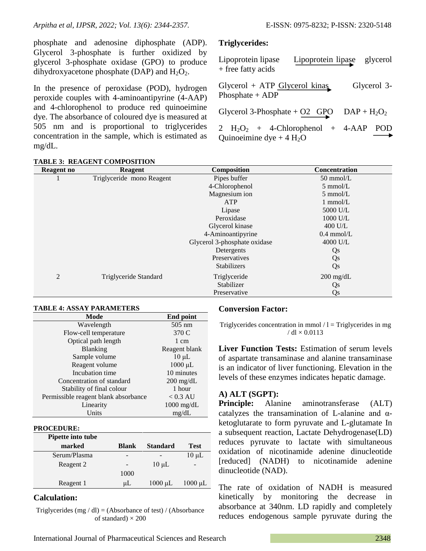phosphate and adenosine diphosphate (ADP). Glycerol 3-phosphate is further oxidized by glycerol 3-phosphate oxidase (GPO) to produce dihydroxyacetone phosphate (DAP) and  $H_2O_2$ .

In the presence of peroxidase (POD), hydrogen peroxide couples with 4-aminoantipyrine (4-AAP) and 4-chlorophenol to produce red quinoeimine dye. The absorbance of coloured dye is measured at 505 nm and is proportional to triglycerides concentration in the sample, which is estimated as mg/dL.

# **TABLE 3: REAGENT COMPOSITION**

## **Triglycerides:**

| Lipoprotein lipase<br>$+$ free fatty acids                      | Lipoprotein lipase glycerol |             |
|-----------------------------------------------------------------|-----------------------------|-------------|
| $Glycerol + ATP$ $Glycerol$ kinas<br>Phosphate $+$ ADP          |                             | Glycerol 3- |
| Glycerol 3-Phosphate + O2 GPO $DAP + H_2O_2$                    |                             |             |
| $H_2O_2$ + 4-Chlorophenol + 4-AAP<br>Quinoeimine dye + $4 H_2O$ |                             | – POD       |

| Reagent no | <b>Reagent</b>            | <b>Composition</b>           | <b>Concentration</b> |
|------------|---------------------------|------------------------------|----------------------|
|            | Triglyceride mono Reagent | Pipes buffer                 | $50 \text{ mmol/L}$  |
|            |                           | 4-Chlorophenol               | $5 \text{ mmol/L}$   |
|            |                           | Magnesium ion                | $5 \text{ mmol/L}$   |
|            |                           | <b>ATP</b>                   | $1 \text{ mmol/L}$   |
|            |                           | Lipase                       | 5000 U/L             |
|            |                           | Peroxidase                   | 1000 U/L             |
|            |                           | Glycerol kinase              | $400$ U/L            |
|            |                           | 4-Aminoantipyrine            | $0.4$ mmol/L         |
|            |                           | Glycerol 3-phosphate oxidase | 4000 U/L             |
|            |                           | Detergents                   | Qs                   |
|            |                           | Preservatives                | Qs                   |
|            |                           | <b>Stabilizers</b>           | Qs                   |
| 2          | Triglyceride Standard     | Triglyceride                 | $200 \text{ mg/dL}$  |
|            |                           | Stabilizer                   | Qs                   |
|            |                           | Preservative                 | Qs                   |

## **TABLE 4: ASSAY PARAMETERS**

| Mode                                 | <b>End point</b>     |
|--------------------------------------|----------------------|
| Wavelength                           | $505$ nm             |
| Flow-cell temperature                | 370 C                |
| Optical path length                  | 1 cm                 |
| <b>Blanking</b>                      | Reagent blank        |
| Sample volume                        | $10 \mu L$           |
| Reagent volume                       | $1000 \mu L$         |
| Incubation time                      | 10 minutes           |
| Concentration of standard            | $200 \text{ mg/dL}$  |
| Stability of final colour            | 1 hour               |
| Permissible reagent blank absorbance | $< 0.3 \text{ AU}$   |
| Linearity                            | $1000 \text{ mg/dL}$ |
| Units                                | mg/dL                |

#### **PROCEDURE:**

| Pipette into tube |              |                 |                          |
|-------------------|--------------|-----------------|--------------------------|
| marked            | <b>Blank</b> | <b>Standard</b> | <b>Test</b>              |
| Serum/Plasma      |              |                 | $10 \mu L$               |
| Reagent 2         |              | $10 \mu L$      | $\overline{\phantom{0}}$ |
|                   | 1000         |                 |                          |
| Reagent 1         | μL           | $1000 \mu L$    | $1000 \mu L$             |

#### **Calculation:**

Triglycerides (mg / dl) = (Absorbance of test) / (Absorbance of standard)  $\times$  200

## **Conversion Factor:**

Triglycerides concentration in mmol  $/1$  = Triglycerides in mg  $/$  dl  $\times$  0.0113

**Liver Function Tests:** Estimation of serum levels of aspartate transaminase and alanine transaminase is an indicator of liver functioning. Elevation in the levels of these enzymes indicates hepatic damage.

## **A) ALT (SGPT):**

**Principle:** Alanine aminotransferase (ALT) catalyzes the transamination of L-alanine and αketoglutarate to form pyruvate and L-glutamate In a subsequent reaction, Lactate Dehydrogenase(LD) reduces pyruvate to lactate with simultaneous oxidation of nicotinamide adenine dinucleotide [reduced] (NADH) to nicotinamide adenine dinucleotide (NAD).

The rate of oxidation of NADH is measured kinetically by monitoring the decrease in absorbance at 340nm. LD rapidly and completely reduces endogenous sample pyruvate during the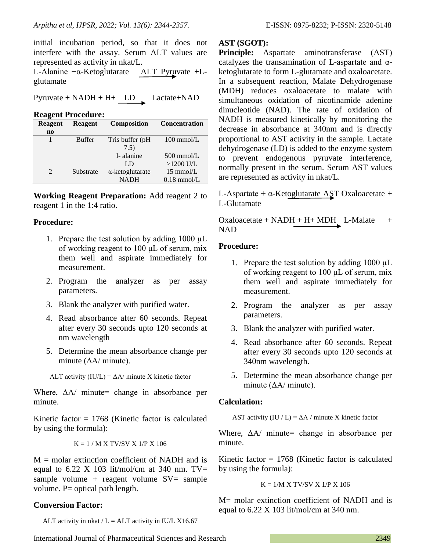initial incubation period, so that it does not interfere with the assay. Serum ALT values are represented as activity in nkat/L.

L-Alanine +α-Ketoglutarate ALT Pyruvate +Lglutamate

Pyruvate + NADH + H+ LD Lactate+NAD

**Reagent Procedure:**

| Reagent        | <b>Reagent</b> | <b>Composition</b>      | <b>Concentration</b> |
|----------------|----------------|-------------------------|----------------------|
| $\mathbf{n}$   |                |                         |                      |
|                | <b>Buffer</b>  | Tris buffer (pH)        | $100 \text{ mmol/L}$ |
|                |                | 7.5)                    |                      |
|                |                | 1- alanine              | $500 \text{ mmol/L}$ |
|                |                | LD                      | $>1200$ U/L          |
| $\overline{2}$ | Substrate      | $\alpha$ -ketoglutarate | $15 \text{ mmol/L}$  |
|                |                | <b>NADH</b>             | $0.18$ mmol/L        |

**Working Reagent Preparation:** Add reagent 2 to reagent 1 in the 1:4 ratio.

# **Procedure:**

- 1. Prepare the test solution by adding 1000 μL of working reagent to 100 μL of serum, mix them well and aspirate immediately for measurement.
- 2. Program the analyzer as per assay parameters.
- 3. Blank the analyzer with purified water.
- 4. Read absorbance after 60 seconds. Repeat after every 30 seconds upto 120 seconds at nm wavelength
- 5. Determine the mean absorbance change per minute  $(\Delta A / \text{minute})$ .

ALT activity  $(IU/L) = \Delta A$ / minute X kinetic factor

Where,  $\Delta A$  minute= change in absorbance per minute.

Kinetic factor  $= 1768$  (Kinetic factor is calculated by using the formula):

 $K = 1 / M X T V/SV X 1/P X 106$ 

 $M =$  molar extinction coefficient of NADH and is equal to  $6.22$  X 103 lit/mol/cm at 340 nm. TV= sample volume + reagent volume  $SV=$  sample volume. P= optical path length.

# **Conversion Factor:**

ALT activity in nkat  $/L = ALT$  activity in IU/L X16.67

# **AST (SGOT):**

**Principle:** Aspartate aminotransferase (AST) catalyzes the transamination of L-aspartate and  $\alpha$ ketoglutarate to form L-glutamate and oxaloacetate. In a subsequent reaction, Malate Dehydrogenase (MDH) reduces oxaloacetate to malate with simultaneous oxidation of nicotinamide adenine dinucleotide (NAD). The rate of oxidation of NADH is measured kinetically by monitoring the decrease in absorbance at 340nm and is directly proportional to AST activity in the sample. Lactate dehydrogenase (LD) is added to the enzyme system to prevent endogenous pyruvate interference, normally present in the serum. Serum AST values are represented as activity in nkat/L.

L-Aspartate +  $\alpha$ -Ketoglutarate AST Oxaloacetate + L-Glutamate

Oxaloacetate +  $NADH + H + MDH$  L-Malate + NAD

# **Procedure:**

- 1. Prepare the test solution by adding 1000 μL of working reagent to 100 μL of serum, mix them well and aspirate immediately for measurement.
- 2. Program the analyzer as per assay parameters.
- 3. Blank the analyzer with purified water.
- 4. Read absorbance after 60 seconds. Repeat after every 30 seconds upto 120 seconds at 340nm wavelength.
- 5. Determine the mean absorbance change per minute  $(\Delta A / \text{minute})$ .

# **Calculation:**

AST activity  $(IU / L) = \Delta A /$  minute X kinetic factor

Where,  $\Delta A$  minute= change in absorbance per minute.

Kinetic factor  $= 1768$  (Kinetic factor is calculated by using the formula):

$$
K = 1/M \times TV/SV \times 1/P \times 106
$$

M= molar extinction coefficient of NADH and is equal to  $6.22 \text{ X } 103$  lit/mol/cm at 340 nm.

International Journal of Pharmaceutical Sciences and Research 2349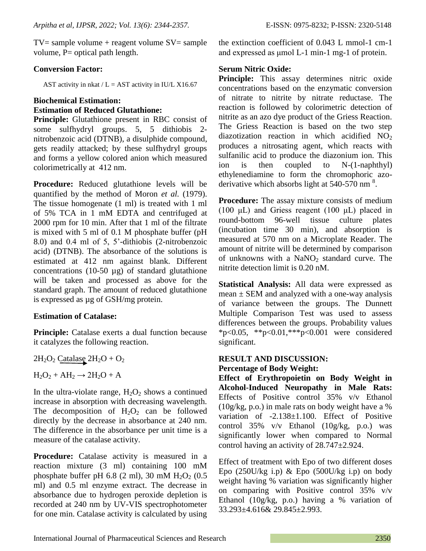$TV =$  sample volume + reagent volume  $SV =$  sample volume, P= optical path length.

## **Conversion Factor:**

AST activity in nkat  $/L =$  AST activity in IU/L X16.67

# **Biochemical Estimation: Estimation of Reduced Glutathione:**

**Principle:** Glutathione present in RBC consist of some sulfhydryl groups. 5, 5 dithiobis 2 nitrobenzoic acid (DTNB), a disulphide compound, gets readily attacked; by these sulfhydryl groups and forms a yellow colored anion which measured colorimetrically at 412 nm.

**Procedure:** Reduced glutathione levels will be quantified by the method of Moron *et al.* (1979). The tissue homogenate (1 ml) is treated with 1 ml of 5% TCA in 1 mM EDTA and centrifuged at 2000 rpm for 10 min. After that 1 ml of the filtrate is mixed with 5 ml of 0.1 M phosphate buffer (pH 8.0) and 0.4 ml of 5, 5'-dithiobis (2-nitrobenzoic acid) (DTNB). The absorbance of the solutions is estimated at 412 nm against blank. Different concentrations (10-50  $\mu$ g) of standard glutathione will be taken and processed as above for the standard graph. The amount of reduced glutathione is expressed as µg of GSH/mg protein.

# **Estimation of Catalase:**

**Principle:** Catalase exerts a dual function because it catalyzes the following reaction.

$$
2H_2O_2 \text{ Catalog } 2H_2O + O_2
$$

$$
H_2O_2 + AH_2 \rightarrow 2H_2O + A
$$

In the ultra-violate range,  $H_2O_2$  shows a continued increase in absorption with decreasing wavelength. The decomposition of  $H_2O_2$  can be followed directly by the decrease in absorbance at 240 nm. The difference in the absorbance per unit time is a measure of the catalase activity.

**Procedure:** Catalase activity is measured in a reaction mixture (3 ml) containing 100 mM phosphate buffer pH 6.8 (2 ml), 30 mM  $H_2O_2$  (0.5) ml) and 0.5 ml enzyme extract. The decrease in absorbance due to hydrogen peroxide depletion is recorded at 240 nm by UV-VIS spectrophotometer for one min. Catalase activity is calculated by using the extinction coefficient of 0.043 L mmol-1 cm-1 and expressed as μmol L-1 min-1 mg-1 of protein.

## **Serum Nitric Oxide:**

**Principle:** This assay determines nitric oxide concentrations based on the enzymatic conversion of nitrate to nitrite by nitrate reductase. The reaction is followed by colorimetric detection of nitrite as an azo dye product of the Griess Reaction. The Griess Reaction is based on the two step diazotization reaction in which acidified  $NO<sub>2</sub>$ produces a nitrosating agent, which reacts with sulfanilic acid to produce the diazonium ion. This ion is then coupled to N-(1-naphthyl) ethylenediamine to form the chromophoric azoderivative which absorbs light at  $540-570$  nm<sup>8</sup>.

**Procedure:** The assay mixture consists of medium (100 μL) and Griess reagent (100 μL) placed in round-bottom 96-well tissue culture plates (incubation time 30 min), and absorption is measured at 570 nm on a Microplate Reader. The amount of nitrite will be determined by comparison of unknowns with a  $NaNO<sub>2</sub>$  standard curve. The nitrite detection limit is 0.20 nM.

**Statistical Analysis:** All data were expressed as  $mean \pm SEM$  and analyzed with a one-way analysis of variance between the groups. The Dunnett Multiple Comparison Test was used to assess differences between the groups. Probability values \*p<0.05, \*\*p<0.01,\*\*\*p<0.001 were considered significant.

# **RESULT AND DISCUSSION: Percentage of Body Weight:**

**Effect of Erythropoietin on Body Weight in Alcohol-Induced Neuropathy in Male Rats:** Effects of Positive control 35% v/v Ethanol (10g/kg, p.o.) in male rats on body weight have a % variation of -2.138±1.100. Effect of Positive control  $35\%$  v/v Ethanol  $(10g/kg, p.o.)$  was significantly lower when compared to Normal control having an activity of 28.747±2.924.

Effect of treatment with Epo of two different doses Epo  $(250U/kg$  i.p) & Epo  $(500U/kg$  i.p) on body weight having % variation was significantly higher on comparing with Positive control 35% v/v Ethanol (10g/kg, p.o.) having a % variation of 33.293±4.616& 29.845±2.993.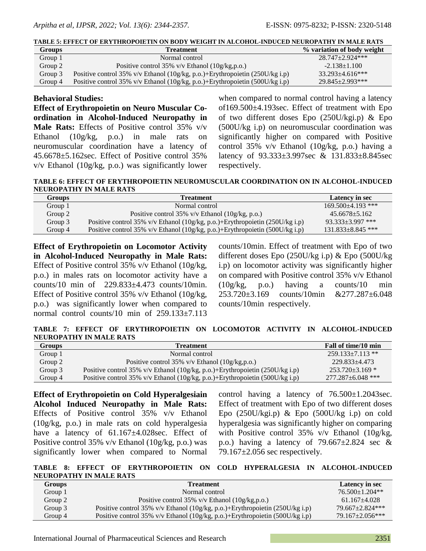**TABLE 5: EFFECT OF ERYTHROPOIETIN ON BODY WEIGHT IN ALCOHOL-INDUCED NEUROPATHY IN MALE RATS**

| <b>Groups</b> | <b>Treatment</b>                                                             | % variation of body weight |
|---------------|------------------------------------------------------------------------------|----------------------------|
| Group 1       | Normal control                                                               | $28.747 + 2.924$ ***       |
| Group 2       | Positive control 35% $v/v$ Ethanol (10g/kg,p.o.)                             | $-2.138 \pm 1.100$         |
| Group 3       | Positive control 35% v/v Ethanol (10g/kg, p.o.)+Erythropoietin (250U/kg i.p) | $33.293 \pm 4.616$ ***     |
| Group 4       | Positive control 35% v/v Ethanol (10g/kg, p.o.)+Erythropoietin (500U/kg i.p) | 29.845+2.993***            |

## **Behavioral Studies:**

**Effect of Erythropoietin on Neuro Muscular Coordination in Alcohol-Induced Neuropathy in Male Rats:** Effects of Positive control 35% v/v Ethanol (10g/kg, p.o.) in male rats on neuromuscular coordination have a latency of 45.6678±5.162sec. Effect of Positive control 35% v/v Ethanol (10g/kg, p.o.) was significantly lower

when compared to normal control having a latency of169.500±4.193sec. Effect of treatment with Epo of two different doses Epo (250U/kgi.p) & Epo (500U/kg i.p) on neuromuscular coordination was significantly higher on compared with Positive control 35% v/v Ethanol (10g/kg, p.o.) having a latency of 93.333±3.997sec & 131.833±8.845sec respectively.

**TABLE 6: EFFECT OF ERYTHROPOIETIN NEUROMUSCULAR COORDINATION ON IN ALCOHOL-INDUCED NEUROPATHY IN MALE RATS**

| <b>Groups</b> | <b>Treatment</b>                                                             | Latency in sec          |
|---------------|------------------------------------------------------------------------------|-------------------------|
| Group 1       | Normal control                                                               | $169.500 + 4.193$ ***   |
| Group 2       | Positive control $35\%$ v/v Ethanol $(10g/kg, p.o.)$                         | $45.6678 + 5.162$       |
| Group 3       | Positive control 35% v/v Ethanol (10g/kg, p.o.)+Erythropoietin (250U/kg i.p) | $93.333 + 3.997$ ***    |
| Group 4       | Positive control 35% v/v Ethanol (10g/kg, p.o.)+Erythropoietin (500U/kg i.p) | $131.833 \pm 8.845$ *** |

**Effect of Erythropoietin on Locomotor Activity in Alcohol-Induced Neuropathy in Male Rats:**  Effect of Positive control 35% v/v Ethanol (10g/kg, p.o.) in males rats on locomotor activity have a counts/10 min of 229.833±4.473 counts/10min. Effect of Positive control 35% v/v Ethanol (10g/kg, p.o.) was significantly lower when compared to normal control counts/10 min of 259.133±7.113

counts/10min. Effect of treatment with Epo of two different doses Epo (250U/kg i.p) & Epo (500U/kg i.p) on locomotor activity was significantly higher on compared with Positive control 35% v/v Ethanol (10g/kg, p.o.) having a counts/10 min 253.720±3.169 counts/10min &277.287±6.048 counts/10min respectively.

**TABLE 7: EFFECT OF ERYTHROPOIETIN ON LOCOMOTOR ACTIVITY IN ALCOHOL-INDUCED NEUROPATHY IN MALE RATS**

| <b>Groups</b> | <b>Treatment</b>                                                             | Fall of time/10 min   |
|---------------|------------------------------------------------------------------------------|-----------------------|
| Group 1       | Normal control                                                               | $259.133 + 7.113$ **  |
| Group 2       | Positive control 35% $v/v$ Ethanol (10g/kg,p.o.)                             | 229.833+4.473         |
| Group 3       | Positive control 35% v/v Ethanol (10g/kg, p.o.)+Erythropoietin (250U/kg i.p) | $253.720 \pm 3.169$ * |
| Group 4       | Positive control 35% v/v Ethanol (10g/kg, p.o.)+Erythropoietin (500U/kg i.p) | $277.287 + 6.048$ *** |

**Effect of Erythropoietin on Cold Hyperalgesiain Alcohol Induced Neuropathy in Male Rats:**  Effects of Positive control 35% v/v Ethanol (10g/kg, p.o.) in male rats on cold hyperalgesia have a latency of 61.167±4.028sec. Effect of Positive control 35% v/v Ethanol (10g/kg, p.o.) was significantly lower when compared to Normal

control having a latency of  $76.500 \pm 1.2043$  sec. Effect of treatment with Epo of two different doses Epo  $(250U/kgi.p)$  & Epo  $(500U/kg i.p)$  on cold hyperalgesia was significantly higher on comparing with Positive control 35% v/v Ethanol (10g/kg, p.o.) having a latency of  $79.667 \pm 2.824$  sec &  $79.167 \pm 2.056$  sec respectively.

**TABLE 8: EFFECT OF ERYTHROPOIETIN ON COLD HYPERALGESIA IN ALCOHOL-INDUCED NEUROPATHY IN MALE RATS**

| <b>Groups</b> | <b>Treatment</b>                                                             | Latency in sec        |
|---------------|------------------------------------------------------------------------------|-----------------------|
| Group 1       | Normal control                                                               | $76.500 \pm 1.204$ ** |
| Group 2       | Positive control 35% $v/v$ Ethanol (10g/kg,p.o.)                             | $61.167 + 4.028$      |
| Group 3       | Positive control 35% v/v Ethanol (10g/kg, p.o.)+Erythropoietin (250U/kg i.p) | $79.667 + 2.824$ ***  |
| Group 4       | Positive control 35% v/v Ethanol (10g/kg, p.o.)+Erythropoietin (500U/kg i.p) | $79.167 + 2.056***$   |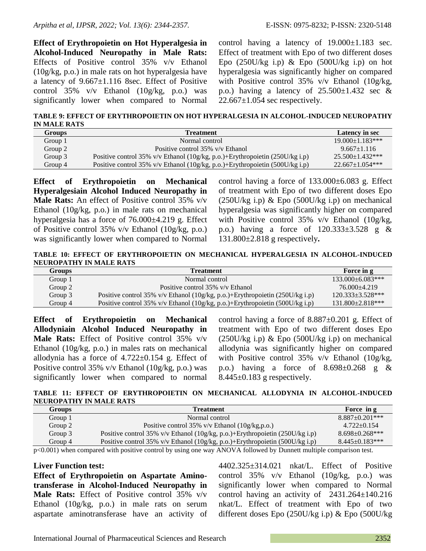**Effect of Erythropoietin on Hot Hyperalgesia in Alcohol-Induced Neuropathy in Male Rats:**  Effects of Positive control 35% v/v Ethanol (10g/kg, p.o.) in male rats on hot hyperalgesia have a latency of 9.667±1.116 8sec. Effect of Positive control  $35\%$  v/v Ethanol  $(10g/kg, p.o.)$  was significantly lower when compared to Normal

control having a latency of 19.000±1.183 sec. Effect of treatment with Epo of two different doses Epo  $(250U/kg$  i.p) & Epo  $(500U/kg$  i.p) on hot hyperalgesia was significantly higher on compared with Positive control 35% v/v Ethanol (10g/kg, p.o.) having a latency of  $25.500 \pm 1.432$  sec &  $22.667 \pm 1.054$  sec respectively.

**TABLE 9: EFFECT OF ERYTHROPOIETIN ON HOT HYPERALGESIA IN ALCOHOL-INDUCED NEUROPATHY IN MALE RATS**

| <b>Groups</b> | <b>Treatment</b>                                                             | Latency in sec         |
|---------------|------------------------------------------------------------------------------|------------------------|
| Group 1       | Normal control                                                               | $19.000 \pm 1.183$ *** |
| Group 2       | Positive control 35% v/v Ethanol                                             | $9.667 \pm 1.116$      |
| Group 3       | Positive control 35% v/v Ethanol (10g/kg, p.o.)+Erythropoietin (250U/kg i.p) | $25.500+1.432***$      |
| Group 4       | Positive control 35% v/v Ethanol (10g/kg, p.o.)+Erythropoietin (500U/kg i.p) | $22.667+1.054***$      |

**Effect of Erythropoietin on Mechanical Hyperalgesiain Alcohol Induced Neuropathy in Male Rats:** An effect of Positive control 35% v/v Ethanol (10g/kg, p.o.) in male rats on mechanical hyperalgesia has a force of  $76.000\pm4.219$  g. Effect of Positive control 35% v/v Ethanol (10g/kg, p.o.) was significantly lower when compared to Normal

control having a force of 133.000±6.083 g. Effect of treatment with Epo of two different doses Epo  $(250U/kg \text{ i.p}) \& \text{Epo} (500U/kg \text{ i.p})$  on mechanical hyperalgesia was significantly higher on compared with Positive control 35% v/v Ethanol (10g/kg, p.o.) having a force of  $120.333\pm3.528$  g & 131.800±2.818 g respectively**.**

**TABLE 10: EFFECT OF ERYTHROPOIETIN ON MECHANICAL HYPERALGESIA IN ALCOHOL-INDUCED NEUROPATHY IN MALE RATS**

| Groups  | <b>Treatment</b>                                                             | Force in g            |
|---------|------------------------------------------------------------------------------|-----------------------|
| Group 1 | Normal control                                                               | 133.000±6.083***      |
| Group 2 | Positive control 35% v/v Ethanol                                             | 76.000+4.219          |
| Group 3 | Positive control 35% v/v Ethanol (10g/kg, p.o.)+Erythropoietin (250U/kg i.p) | $120.333 + 3.528***$  |
| Group 4 | Positive control 35% v/v Ethanol (10g/kg, p.o.)+Erythropoietin (500U/kg i.p) | $131.800 + 2.818$ *** |

**Effect of Erythropoietin on Mechanical Allodyniain Alcohol Induced Neuropathy in Male Rats:** Effect of Positive control 35% v/v Ethanol (10g/kg, p.o.) in males rats on mechanical allodynia has a force of  $4.722 \pm 0.154$  g. Effect of Positive control 35% v/v Ethanol (10g/kg, p.o.) was significantly lower when compared to normal

control having a force of  $8.887\pm0.201$  g. Effect of treatment with Epo of two different doses Epo  $(250U/kg \text{ i.p}) \& \text{Epo} (500U/kg \text{ i.p})$  on mechanical allodynia was significantly higher on compared with Positive control 35% v/v Ethanol (10g/kg, p.o.) having a force of  $8.698\pm0.268$  g &  $8.445\pm0.183$  g respectively.

**TABLE 11: EFFECT OF ERYTHROPOIETIN ON MECHANICAL ALLODYNIA IN ALCOHOL-INDUCED NEUROPATHY IN MALE RATS**

| Groups  | <b>Treatment</b>                                                             | Force in g            |
|---------|------------------------------------------------------------------------------|-----------------------|
| Group 1 | Normal control                                                               | $8.887 \pm 0.201$ *** |
| Group 2 | Positive control 35% $v/v$ Ethanol (10g/kg,p.o.)                             | $4.722 \pm 0.154$     |
| Group 3 | Positive control 35% v/v Ethanol (10g/kg, p.o.)+Erythropoietin (250U/kg i.p) | $8.698 \pm 0.268$ *** |
| Group 4 | Positive control 35% v/v Ethanol (10g/kg, p.o.)+Erythropoietin (500U/kg i.p) | $8.445 \pm 0.183$ *** |

p<0.001) when compared with positive control by using one way ANOVA followed by Dunnett multiple comparison test.

#### **Liver Function test:**

**Effect of Erythropoietin on Aspartate Aminotransferase in Alcohol-Induced Neuropathy in Male Rats:** Effect of Positive control 35% v/v Ethanol (10g/kg, p.o.) in male rats on serum aspartate aminotransferase have an activity of 4402.325±314.021 nkat/L. Effect of Positive control 35% v/v Ethanol (10g/kg, p.o.) was significantly lower when compared to Normal control having an activity of  $2431.264 \pm 140.216$ nkat/L. Effect of treatment with Epo of two different doses Epo (250U/kg i.p) & Epo (500U/kg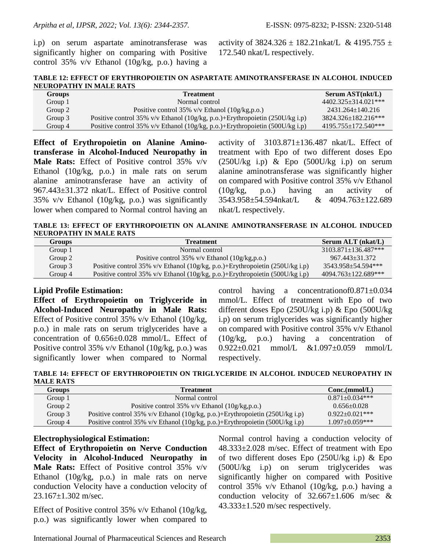i.p) on serum aspartate aminotransferase was significantly higher on comparing with Positive control 35% v/v Ethanol (10g/kg, p.o.) having a activity of  $3824.326 \pm 182.21$ nkat/L & 4195.755  $\pm$ 172.540 nkat/L respectively.

**TABLE 12: EFFECT OF ERYTHROPOIETIN ON ASPARTATE AMINOTRANSFERASE IN ALCOHOL INDUCED NEUROPATHY IN MALE RATS**

| <b>Groups</b> | <b>Treatment</b>                                                             | Serum AST(nkt/L)           |
|---------------|------------------------------------------------------------------------------|----------------------------|
| Group 1       | Normal control                                                               | $4402.325 + 314.021$ ***   |
| Group 2       | Positive control 35% $v/v$ Ethanol (10g/kg,p.o.)                             | 2431.264+140.216           |
| Group 3       | Positive control 35% v/v Ethanol (10g/kg, p.o.)+Erythropoietin (250U/kg i.p) | $3824.326 \pm 182.216$ *** |
| Group 4       | Positive control 35% v/v Ethanol (10g/kg, p.o.)+Erythropoietin (500U/kg i.p) | $4195.755 \pm 172.540$ *** |

**Effect of Erythropoietin on Alanine Aminotransferase in Alcohol-Induced Neuropathy in Male Rats:** Effect of Positive control 35% v/v Ethanol (10g/kg, p.o.) in male rats on serum alanine aminotransferase have an activity of 967.443±31.372 nkat/L. Effect of Positive control 35% v/v Ethanol (10g/kg, p.o.) was significantly lower when compared to Normal control having an activity of  $3103.871 \pm 136.487$  nkat/L. Effect of treatment with Epo of two different doses Epo  $(250U/kg$  i.p) & Epo  $(500U/kg$  i.p) on serum alanine aminotransferase was significantly higher on compared with Positive control 35% v/v Ethanol (10g/kg, p.o.) having an activity of 3543.958±54.594nkat/L & 4094.763±122.689 nkat/L respectively.

**TABLE 13: EFFECT OF ERYTHROPOIETIN ON ALANINE AMINOTRANSFERASE IN ALCOHOL INDUCED NEUROPATHY IN MALE RATS**

| <b>Groups</b> | <b>Treatment</b>                                                             | Serum ALT (nkat/L)         |
|---------------|------------------------------------------------------------------------------|----------------------------|
| Group 1       | Normal control                                                               | $3103.871 \pm 136.487$ *** |
| Group 2       | Positive control 35% $v/v$ Ethanol (10g/kg,p.o.)                             | 967.443+31.372             |
| Group 3       | Positive control 35% v/v Ethanol (10g/kg, p.o.)+Erythropoietin (250U/kg i.p) | 3543.958+54.594***         |
| Group 4       | Positive control 35% v/v Ethanol (10g/kg, p.o.)+Erythropoietin (500U/kg i.p) | $4094.763 \pm 122.689$ *** |

## **Lipid Profile Estimation:**

**Effect of Erythropoietin on Triglyceride in Alcohol-Induced Neuropathy in Male Rats:**  Effect of Positive control 35% v/v Ethanol (10g/kg, p.o.) in male rats on serum triglycerides have a concentration of 0.656±0.028 mmol/L. Effect of Positive control 35% v/v Ethanol (10g/kg, p.o.) was significantly lower when compared to Normal

control having a concentrationof0.871±0.034 mmol/L. Effect of treatment with Epo of two different doses Epo (250U/kg i.p) & Epo (500U/kg i.p) on serum triglycerides was significantly higher on compared with Positive control 35% v/v Ethanol (10g/kg, p.o.) having a concentration of 0.922±0.021 mmol/L &1.097±0.059 mmol/L respectively.

**TABLE 14: EFFECT OF ERYTHROPOIETIN ON TRIGLYCERIDE IN ALCOHOL INDUCED NEUROPATHY IN MALE RATS**

| Groups  | <b>Treatment</b>                                                             | Conc.(mmol/L)       |
|---------|------------------------------------------------------------------------------|---------------------|
| Group 1 | Normal control                                                               | $0.871 + 0.034$ *** |
| Group 2 | Positive control $35\%$ v/v Ethanol $(10g/kg.p.o.)$                          | $0.656 \pm 0.028$   |
| Group 3 | Positive control 35% v/v Ethanol (10g/kg, p.o.)+Erythropoietin (250U/kg i.p) | $0.922+0.021***$    |
| Group 4 | Positive control 35% v/v Ethanol (10g/kg, p.o.)+Erythropoietin (500U/kg i.p) | $1.097+0.059***$    |

#### **Electrophysiological Estimation:**

**Effect of Erythropoietin on Nerve Conduction Velocity in Alcohol-Induced Neuropathy in Male Rats:** Effect of Positive control 35% v/v Ethanol (10g/kg, p.o.) in male rats on nerve conduction Velocity have a conduction velocity of 23.167±1.302 m/sec.

Effect of Positive control 35% v/v Ethanol (10g/kg, p.o.) was significantly lower when compared to Normal control having a conduction velocity of 48.333±2.028 m/sec. Effect of treatment with Epo of two different doses Epo (250U/kg i.p) & Epo (500U/kg i.p) on serum triglycerides was significantly higher on compared with Positive control 35% v/v Ethanol (10g/kg, p.o.) having a conduction velocity of  $32.667 \pm 1.606$  m/sec &  $43.333\pm1.520$  m/sec respectively.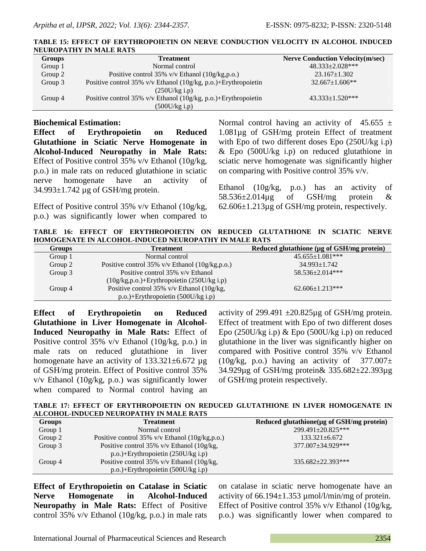| <b>Groups</b> | <b>Treatment</b>                                                  | <b>Nerve Conduction Velocity(m/sec)</b> |
|---------------|-------------------------------------------------------------------|-----------------------------------------|
| Group 1       | Normal control                                                    | 48.333±2.028***                         |
| Group 2       | Positive control 35% $v/v$ Ethanol (10g/kg,p.o.)                  | $23.167 \pm 1.302$                      |
| Group 3       | Positive control 35% v/v Ethanol $(10g/kg, p.o.)$ +Erythropoietin | $32.667 \pm 1.606$ **                   |
|               | (250U/kg i.p)                                                     |                                         |
| Group 4       | Positive control 35% v/v Ethanol (10g/kg, p.o.)+Erythropoietin    | $43.333 \pm 1.520$ ***                  |
|               | (500U/kg i.p)                                                     |                                         |

#### **TABLE 15: EFFECT OF ERYTHROPOIETIN ON NERVE CONDUCTION VELOCITY IN ALCOHOL INDUCED NEUROPATHY IN MALE RATS**

## **Biochemical Estimation:**

**Effect of Erythropoietin on Reduced Glutathione in Sciatic Nerve Homogenate in Alcohol-Induced Neuropathy in Male Rats:**  Effect of Positive control 35% v/v Ethanol (10g/kg, p.o.) in male rats on reduced glutathione in sciatic nerve homogenate have an activity of 34.993±1.742 µg of GSH/mg protein.

Effect of Positive control 35% v/v Ethanol (10g/kg, p.o.) was significantly lower when compared to Normal control having an activity of  $45.655 \pm$ 1.081µg of GSH/mg protein Effect of treatment with Epo of two different doses Epo (250U/kg i.p) & Epo (500U/kg i.p) on reduced glutathione in sciatic nerve homogenate was significantly higher on comparing with Positive control 35% v/v.

Ethanol (10g/kg, p.o.) has an activity of 58.536±2.014µg of GSH/mg protein & 62.606±1.213µg of GSH/mg protein, respectively.

**TABLE 16: EFFECT OF ERYTHROPOIETIN ON REDUCED GLUTATHIONE IN SCIATIC NERVE HOMOGENATE IN ALCOHOL-INDUCED NEUROPATHY IN MALE RATS**

| <b>Groups</b> | <b>Treatment</b>                                 | Reduced glutathione (µg of GSH/mg protein) |
|---------------|--------------------------------------------------|--------------------------------------------|
| Group 1       | Normal control                                   | $45.655 \pm 1.081$ ***                     |
| Group 2       | Positive control 35% $v/v$ Ethanol (10g/kg,p.o.) | $34.993 \pm 1.742$                         |
| Group 3       | Positive control 35% v/v Ethanol                 | 58.536±2.014***                            |
|               | $(10g/kg, p.o.) + Erythropic time (250U/kg i.p)$ |                                            |
| Group 4       | Positive control 35% $v/v$ Ethanol (10g/kg,      | $62.606 \pm 1.213$ ***                     |
|               | p.o.)+Erythropoietin (500U/kg i.p)               |                                            |

**Effect of Erythropoietin on Reduced Glutathione in Liver Homogenate in Alcohol-Induced Neuropathy in Male Rats:** Effect of Positive control 35% v/v Ethanol (10g/kg, p.o.) in male rats on reduced glutathione in liver homogenate have an activity of  $133.321 \pm 6.672$  µg of GSH/mg protein. Effect of Positive control 35% v/v Ethanol (10g/kg, p.o.) was significantly lower when compared to Normal control having an

activity of 299.491  $\pm$ 20.825µg of GSH/mg protein. Effect of treatment with Epo of two different doses Epo (250U/kg i.p) & Epo (500U/kg i.p) on reduced glutathione in the liver was significantly higher on compared with Positive control 35% v/v Ethanol  $(10g/kg, p.o.)$  having an activity of  $377.007\pm$ 34.929µg of GSH/mg protein& 335.682±22.393µg of GSH/mg protein respectively.

**TABLE 17: EFFECT OF ERYTHROPOIETIN ON REDUCED GLUTATHIONE IN LIVER HOMOGENATE IN ALCOHOL-INDUCED NEUROPATHY IN MALE RATS**

| Groups  | <b>Treatment</b>                                 | Reduced glutathione( $\mu$ g of GSH/mg protein) |
|---------|--------------------------------------------------|-------------------------------------------------|
| Group 1 | Normal control                                   | 299.491±20.825***                               |
| Group 2 | Positive control 35% $v/v$ Ethanol (10g/kg,p.o.) | $133.321 \pm 6.672$                             |
| Group 3 | Positive control 35% $v/v$ Ethanol (10g/kg,      | 377.007±34.929***                               |
|         | $p.o.$ )+Erythropoietin (250U/kg i.p)            |                                                 |
| Group 4 | Positive control 35% $v/v$ Ethanol (10g/kg,      | $335.682 \pm 22.393$ ***                        |
|         | $p.o.$ )+Erythropoietin (500U/kg i.p)            |                                                 |

**Effect of Erythropoietin on Catalase in Sciatic Nerve Homogenate in Alcohol-Induced Neuropathy in Male Rats:** Effect of Positive control 35% v/v Ethanol (10g/kg, p.o.) in male rats

on catalase in sciatic nerve homogenate have an activity of  $66.194 \pm 1.353 \mu$  mol/l/min/mg of protein. Effect of Positive control 35% v/v Ethanol (10g/kg, p.o.) was significantly lower when compared to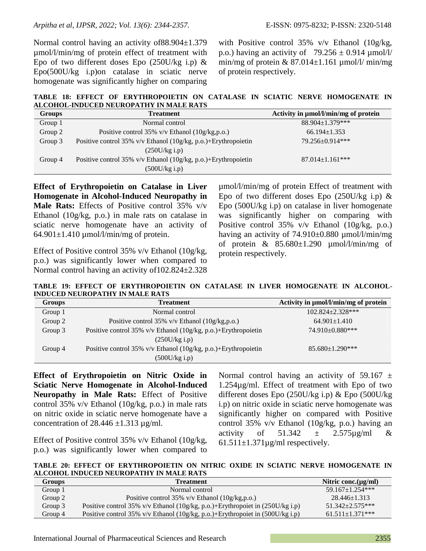Normal control having an activity of88.904±1.379 µmol/l/min/mg of protein effect of treatment with Epo of two different doses Epo  $(250U/kg \text{ i.p}) \&$ Epo(500U/kg i.p)on catalase in sciatic nerve homogenate was significantly higher on comparing with Positive control 35% v/v Ethanol (10g/kg, p.o.) having an activity of  $79.256 \pm 0.914 \mu$ mol/l/ min/mg of protein  $& 87.014 \pm 1.161 \mu$  mol/l/ min/mg of protein respectively.

**TABLE 18: EFFECT OF ERYTHROPOIETIN ON CATALASE IN SCIATIC NERVE HOMOGENATE IN ALCOHOL-INDUCED NEUROPATHY IN MALE RATS**

| <b>Groups</b> | <b>Treatment</b>                                                  | Activity in µmol/l/min/mg of protein |
|---------------|-------------------------------------------------------------------|--------------------------------------|
| Group 1       | Normal control                                                    | 88.904±1.379***                      |
| Group 2       | Positive control 35% $v/v$ Ethanol (10g/kg,p.o.)                  | $66.194 \pm 1.353$                   |
| Group 3       | Positive control 35% v/v Ethanol $(10g/kg, p.o.)$ +Erythropoietin | 79.256±0.914***                      |
|               | (250U/kg i.p)                                                     |                                      |
| Group 4       | Positive control 35% v/v Ethanol (10g/kg, p.o.)+Erythropoietin    | $87.014 \pm 1.161$ ***               |
|               | $(500U/kg$ i.p)                                                   |                                      |

**Effect of Erythropoietin on Catalase in Liver Homogenate in Alcohol-Induced Neuropathy in Male Rats:** Effects of Positive control 35% v/v Ethanol (10g/kg, p.o.) in male rats on catalase in sciatic nerve homogenate have an activity of  $64.901 \pm 1.410$  µmol/l/min/mg of protein.

Effect of Positive control 35% v/v Ethanol (10g/kg, p.o.) was significantly lower when compared to Normal control having an activity of102.824±2.328 µmol/l/min/mg of protein Effect of treatment with Epo of two different doses Epo  $(250U/kg)$  i.p) & Epo (500U/kg i.p) on catalase in liver homogenate was significantly higher on comparing with Positive control 35% v/v Ethanol (10g/kg, p.o.) having an activity of 74.910±0.880 µmol/l/min/mg of protein  $\&$  85.680 $\pm$ 1.290 µmol/l/min/mg of protein respectively.

**TABLE 19: EFFECT OF ERYTHROPOIETIN ON CATALASE IN LIVER HOMOGENATE IN ALCOHOL-INDUCED NEUROPATHY IN MALE RATS**

| <b>Groups</b> | <b>Treatment</b>                                               | Activity in µmol/l/min/mg of protein |
|---------------|----------------------------------------------------------------|--------------------------------------|
| Group 1       | Normal control                                                 | $102.824 \pm 2.328$ ***              |
| Group 2       | Positive control 35% $v/v$ Ethanol (10g/kg,p.o.)               | $64.901 \pm 1.410$                   |
| Group 3       | Positive control 35% v/v Ethanol (10g/kg, p.o.)+Erythropoietin | 74.910±0.880***                      |
|               | (250U/kg i.p)                                                  |                                      |
| Group 4       | Positive control 35% v/v Ethanol (10g/kg, p.o.)+Erythropoietin | $85.680 \pm 1.290$ ***               |
|               | $(500U/kg$ i.p)                                                |                                      |

**Effect of Erythropoietin on Nitric Oxide in Sciatic Nerve Homogenate in Alcohol-Induced Neuropathy in Male Rats:** Effect of Positive control 35% v/v Ethanol (10g/kg, p.o.) in male rats on nitric oxide in sciatic nerve homogenate have a concentration of  $28.446 \pm 1.313$  µg/ml.

Effect of Positive control 35% v/v Ethanol (10g/kg, p.o.) was significantly lower when compared to

Normal control having an activity of 59.167  $\pm$ 1.254µg/ml. Effect of treatment with Epo of two different doses Epo (250U/kg i.p) & Epo (500U/kg i.p) on nitric oxide in sciatic nerve homogenate was significantly higher on compared with Positive control 35% v/v Ethanol (10g/kg, p.o.) having an activity of  $51.342 \pm 2.575 \mu g/ml \&$  $61.511 \pm 1.371 \mu$ g/ml respectively.

**TABLE 20: EFFECT OF ERYTHROPOIETIN ON NITRIC OXIDE IN SCIATIC NERVE HOMOGENATE IN ALCOHOL INDUCED NEUROPATHY IN MALE RATS**

| Groups    | <b>Treatment</b>                                                              | Nitric conc. $(\mu g/ml)$ |
|-----------|-------------------------------------------------------------------------------|---------------------------|
| Group $1$ | Normal control                                                                | $59.167 + 1.254***$       |
| Group 2   | Positive control 35% $v/v$ Ethanol (10g/kg,p.o.)                              | $28.446 \pm 1.313$        |
| Group 3   | Positive control 35% v/v Ethanol (10g/kg, p.o.)+Erythropoiet in (250U/kg i.p) | $51.342 + 2.575***$       |
| Group 4   | Positive control 35% v/v Ethanol (10g/kg, p.o.)+Erythropoiet in (500U/kg i.p) | $61.511+1.371***$         |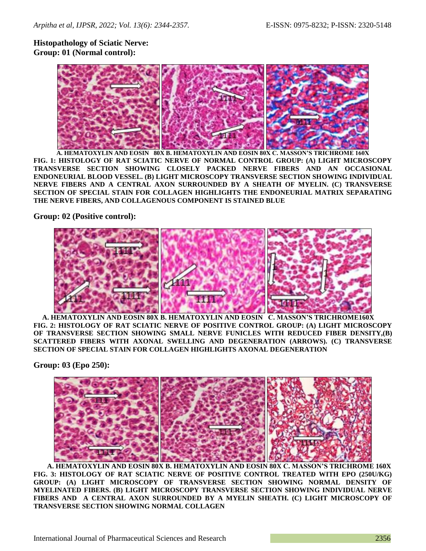# **Histopathology of Sciatic Nerve: Group: 01 (Normal control):**



**A. HEMATOXYLIN AND EOSIN 80X B. HEMATOXYLIN AND EOSIN 80X C. MASSON'S TRICHROME 160X FIG. 1: HISTOLOGY OF RAT SCIATIC NERVE OF NORMAL CONTROL GROUP: (A) LIGHT MICROSCOPY TRANSVERSE SECTION SHOWING CLOSELY PACKED NERVE FIBERS AND AN OCCASIONAL ENDONEURIAL BLOOD VESSEL. (B) LIGHT MICROSCOPY TRANSVERSE SECTION SHOWING INDIVIDUAL NERVE FIBERS AND A CENTRAL AXON SURROUNDED BY A SHEATH OF MYELIN. (C) TRANSVERSE SECTION OF SPECIAL STAIN FOR COLLAGEN HIGHLIGHTS THE ENDONEURIAL MATRIX SEPARATING THE NERVE FIBERS, AND COLLAGENOUS COMPONENT IS STAINED BLUE**

**Group: 02 (Positive control):**



 **A. HEMATOXYLIN AND EOSIN 80X B. HEMATOXYLIN AND EOSIN C. MASSON'S TRICHROME160X FIG. 2: HISTOLOGY OF RAT SCIATIC NERVE OF POSITIVE CONTROL GROUP: (A) LIGHT MICROSCOPY OF TRANSVERSE SECTION SHOWING SMALL NERVE FUNICLES WITH REDUCED FIBER DENSITY,(B) SCATTERED FIBERS WITH AXONAL SWELLING AND DEGENERATION (ARROWS). (C) TRANSVERSE SECTION OF SPECIAL STAIN FOR COLLAGEN HIGHLIGHTS AXONAL DEGENERATION**

**Group: 03 (Epo 250):**



**A. HEMATOXYLIN AND EOSIN 80X B. HEMATOXYLIN AND EOSIN 80X C. MASSON'S TRICHROME 160X FIG. 3: HISTOLOGY OF RAT SCIATIC NERVE OF POSITIVE CONTROL TREATED WITH EPO (250U/KG) GROUP: (A) LIGHT MICROSCOPY OF TRANSVERSE SECTION SHOWING NORMAL DENSITY OF MYELINATED FIBERS. (B) LIGHT MICROSCOPY TRANSVERSE SECTION SHOWING INDIVIDUAL NERVE FIBERS AND A CENTRAL AXON SURROUNDED BY A MYELIN SHEATH. (C) LIGHT MICROSCOPY OF TRANSVERSE SECTION SHOWING NORMAL COLLAGEN**